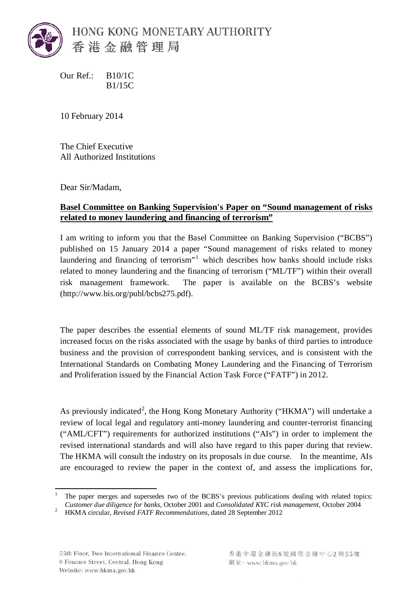

Our Ref.: B10/1C B1/15C

10 February 2014

The Chief Executive All Authorized Institutions

Dear Sir/Madam,

## **Basel Committee on Banking Supervision's Paper on "Sound management of risks related to money laundering and financing of terrorism"**

I am writing to inform you that the Basel Committee on Banking Supervision ("BCBS") published on 15 January 2014 a paper "Sound management of risks related to money laundering and financing of terrorism"<sup>[1](#page-1-0)</sup> which describes how banks should include risks related to money laundering and the financing of terrorism ("ML/TF") within their overall risk management framework. The paper is available on the BCBS's website (http://www.bis.org/publ/bcbs275.pdf).

The paper describes the essential elements of sound ML/TF risk management, provides increased focus on the risks associated with the usage by banks of third parties to introduce business and the provision of correspondent banking services, and is consistent with the International Standards on Combating Money Laundering and the Financing of Terrorism and Proliferation issued by the Financial Action Task Force ("FATF") in 2012.

As previously indicated<sup>[2](#page-0-0)</sup>, the Hong Kong Monetary Authority ("HKMA") will undertake a review of local legal and regulatory anti-money laundering and counter-terrorist financing ("AML/CFT") requirements for authorized institutions ("AIs") in order to implement the revised international standards and will also have regard to this paper during that review. The HKMA will consult the industry on its proposals in due course. In the meantime, AIs are encouraged to review the paper in the context of, and assess the implications for,

 <sup>1</sup> The paper merges and supersedes two of the BCBS's previous publications dealing with related topics: *Customer due diligence for banks*, October 2001 and *Consolidated KYC risk management*, October 2004 HKMA circular, *Revised FATF Recommendations*, dated 28 September 2012

<span id="page-0-0"></span>